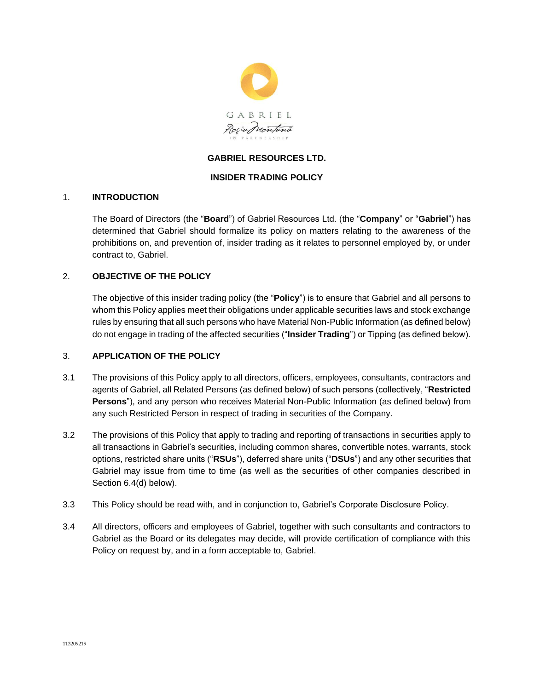

# **GABRIEL RESOURCES LTD.**

## **INSIDER TRADING POLICY**

#### 1. **INTRODUCTION**

The Board of Directors (the "**Board**") of Gabriel Resources Ltd. (the "**Company**" or "**Gabriel**") has determined that Gabriel should formalize its policy on matters relating to the awareness of the prohibitions on, and prevention of, insider trading as it relates to personnel employed by, or under contract to, Gabriel.

#### 2. **OBJECTIVE OF THE POLICY**

The objective of this insider trading policy (the "**Policy**") is to ensure that Gabriel and all persons to whom this Policy applies meet their obligations under applicable securities laws and stock exchange rules by ensuring that all such persons who have Material Non-Public Information (as defined below) do not engage in trading of the affected securities ("**Insider Trading**") or Tipping (as defined below).

#### 3. **APPLICATION OF THE POLICY**

- 3.1 The provisions of this Policy apply to all directors, officers, employees, consultants, contractors and agents of Gabriel, all Related Persons (as defined below) of such persons (collectively, "**Restricted Persons**"), and any person who receives Material Non-Public Information (as defined below) from any such Restricted Person in respect of trading in securities of the Company.
- 3.2 The provisions of this Policy that apply to trading and reporting of transactions in securities apply to all transactions in Gabriel's securities, including common shares, convertible notes, warrants, stock options, restricted share units ("**RSUs**"), deferred share units ("**DSUs**") and any other securities that Gabriel may issue from time to time (as well as the securities of other companies described in Section [6.4\(d\)](#page-3-0) below).
- 3.3 This Policy should be read with, and in conjunction to, Gabriel's Corporate Disclosure Policy.
- 3.4 All directors, officers and employees of Gabriel, together with such consultants and contractors to Gabriel as the Board or its delegates may decide, will provide certification of compliance with this Policy on request by, and in a form acceptable to, Gabriel.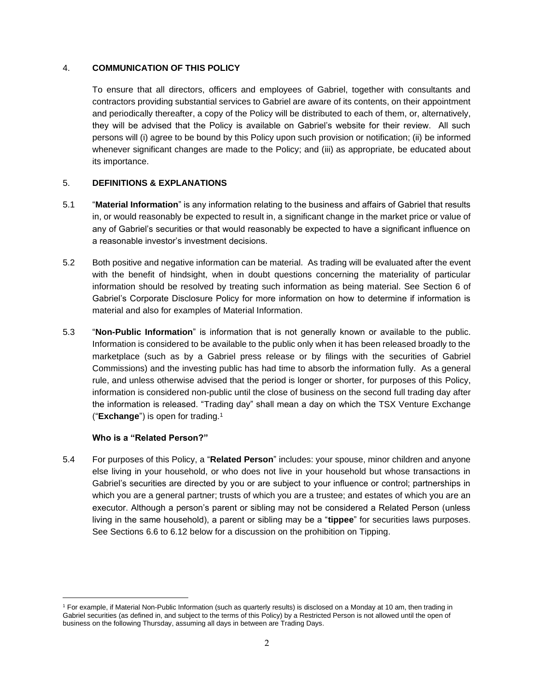#### 4. **COMMUNICATION OF THIS POLICY**

To ensure that all directors, officers and employees of Gabriel, together with consultants and contractors providing substantial services to Gabriel are aware of its contents, on their appointment and periodically thereafter, a copy of the Policy will be distributed to each of them, or, alternatively, they will be advised that the Policy is available on Gabriel's website for their review. All such persons will (i) agree to be bound by this Policy upon such provision or notification; (ii) be informed whenever significant changes are made to the Policy; and (iii) as appropriate, be educated about its importance.

## 5. **DEFINITIONS & EXPLANATIONS**

- 5.1 "**Material Information**" is any information relating to the business and affairs of Gabriel that results in, or would reasonably be expected to result in, a significant change in the market price or value of any of Gabriel's securities or that would reasonably be expected to have a significant influence on a reasonable investor's investment decisions.
- 5.2 Both positive and negative information can be material. As trading will be evaluated after the event with the benefit of hindsight, when in doubt questions concerning the materiality of particular information should be resolved by treating such information as being material. See Section 6 of Gabriel's Corporate Disclosure Policy for more information on how to determine if information is material and also for examples of Material Information.
- 5.3 "**Non-Public Information**" is information that is not generally known or available to the public. Information is considered to be available to the public only when it has been released broadly to the marketplace (such as by a Gabriel press release or by filings with the securities of Gabriel Commissions) and the investing public has had time to absorb the information fully. As a general rule, and unless otherwise advised that the period is longer or shorter, for purposes of this Policy, information is considered non-public until the close of business on the second full trading day after the information is released. "Trading day" shall mean a day on which the TSX Venture Exchange ("**Exchange**") is open for trading.<sup>1</sup>

## **Who is a "Related Person?"**

5.4 For purposes of this Policy, a "**Related Person**" includes: your spouse, minor children and anyone else living in your household, or who does not live in your household but whose transactions in Gabriel's securities are directed by you or are subject to your influence or control; partnerships in which you are a general partner; trusts of which you are a trustee; and estates of which you are an executor. Although a person's parent or sibling may not be considered a Related Person (unless living in the same household), a parent or sibling may be a "**tippee**" for securities laws purposes. See Sections [6.6](#page-4-0) to [6.12](#page-5-0) below for a discussion on the prohibition on Tipping.

<sup>1</sup> For example, if Material Non-Public Information (such as quarterly results) is disclosed on a Monday at 10 am, then trading in Gabriel securities (as defined in, and subject to the terms of this Policy) by a Restricted Person is not allowed until the open of business on the following Thursday, assuming all days in between are Trading Days.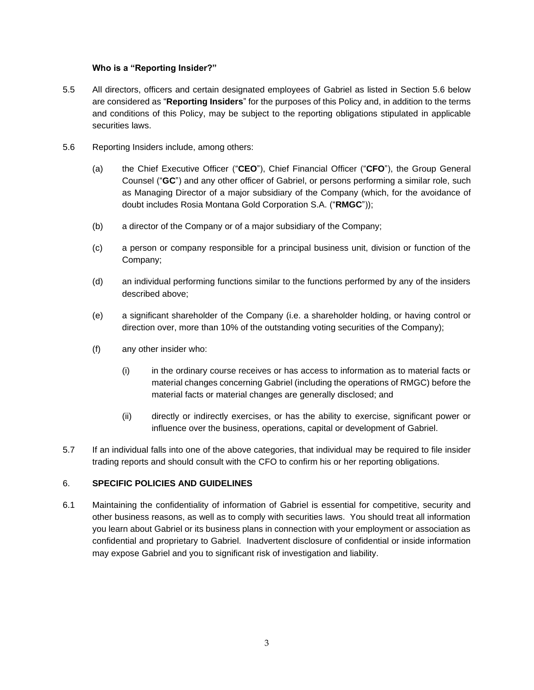## **Who is a "Reporting Insider?"**

- 5.5 All directors, officers and certain designated employees of Gabriel as listed in Section [5.6](#page-2-0) below are considered as "**Reporting Insiders**" for the purposes of this Policy and, in addition to the terms and conditions of this Policy, may be subject to the reporting obligations stipulated in applicable securities laws.
- <span id="page-2-0"></span>5.6 Reporting Insiders include, among others:
	- (a) the Chief Executive Officer ("**CEO**"), Chief Financial Officer ("**CFO**"), the Group General Counsel ("**GC**") and any other officer of Gabriel, or persons performing a similar role, such as Managing Director of a major subsidiary of the Company (which, for the avoidance of doubt includes Rosia Montana Gold Corporation S.A. ("**RMGC**"));
	- (b) a director of the Company or of a major subsidiary of the Company;
	- (c) a person or company responsible for a principal business unit, division or function of the Company;
	- (d) an individual performing functions similar to the functions performed by any of the insiders described above;
	- (e) a significant shareholder of the Company (i.e. a shareholder holding, or having control or direction over, more than 10% of the outstanding voting securities of the Company);
	- (f) any other insider who:
		- (i) in the ordinary course receives or has access to information as to material facts or material changes concerning Gabriel (including the operations of RMGC) before the material facts or material changes are generally disclosed; and
		- (ii) directly or indirectly exercises, or has the ability to exercise, significant power or influence over the business, operations, capital or development of Gabriel.
- 5.7 If an individual falls into one of the above categories, that individual may be required to file insider trading reports and should consult with the CFO to confirm his or her reporting obligations.

## 6. **SPECIFIC POLICIES AND GUIDELINES**

6.1 Maintaining the confidentiality of information of Gabriel is essential for competitive, security and other business reasons, as well as to comply with securities laws. You should treat all information you learn about Gabriel or its business plans in connection with your employment or association as confidential and proprietary to Gabriel. Inadvertent disclosure of confidential or inside information may expose Gabriel and you to significant risk of investigation and liability.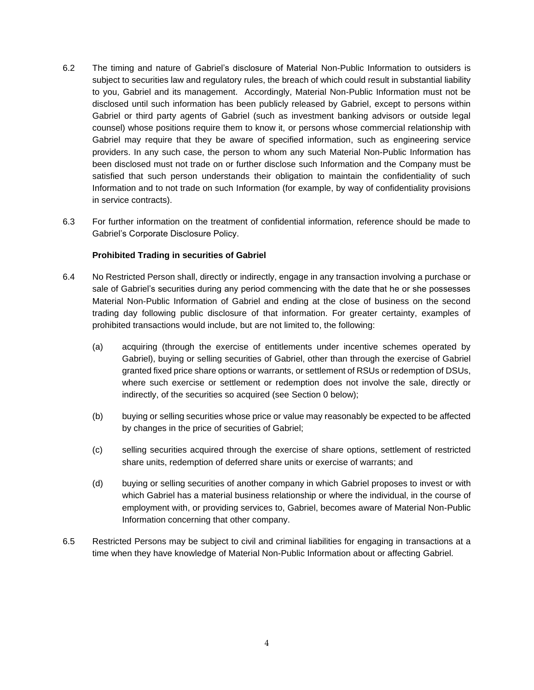- 6.2 The timing and nature of Gabriel's disclosure of Material Non-Public Information to outsiders is subject to securities law and regulatory rules, the breach of which could result in substantial liability to you, Gabriel and its management. Accordingly, Material Non-Public Information must not be disclosed until such information has been publicly released by Gabriel, except to persons within Gabriel or third party agents of Gabriel (such as investment banking advisors or outside legal counsel) whose positions require them to know it, or persons whose commercial relationship with Gabriel may require that they be aware of specified information, such as engineering service providers. In any such case, the person to whom any such Material Non-Public Information has been disclosed must not trade on or further disclose such Information and the Company must be satisfied that such person understands their obligation to maintain the confidentiality of such Information and to not trade on such Information (for example, by way of confidentiality provisions in service contracts).
- 6.3 For further information on the treatment of confidential information, reference should be made to Gabriel's Corporate Disclosure Policy.

#### **Prohibited Trading in securities of Gabriel**

- 6.4 No Restricted Person shall, directly or indirectly, engage in any transaction involving a purchase or sale of Gabriel's securities during any period commencing with the date that he or she possesses Material Non-Public Information of Gabriel and ending at the close of business on the second trading day following public disclosure of that information. For greater certainty, examples of prohibited transactions would include, but are not limited to, the following:
	- (a) acquiring (through the exercise of entitlements under incentive schemes operated by Gabriel), buying or selling securities of Gabriel, other than through the exercise of Gabriel granted fixed price share options or warrants, or settlement of RSUs or redemption of DSUs, where such exercise or settlement or redemption does not involve the sale, directly or indirectly, of the securities so acquired (see Section [0](#page-7-0) below);
	- (b) buying or selling securities whose price or value may reasonably be expected to be affected by changes in the price of securities of Gabriel;
	- (c) selling securities acquired through the exercise of share options, settlement of restricted share units, redemption of deferred share units or exercise of warrants; and
	- (d) buying or selling securities of another company in which Gabriel proposes to invest or with which Gabriel has a material business relationship or where the individual, in the course of employment with, or providing services to, Gabriel, becomes aware of Material Non-Public Information concerning that other company.
- <span id="page-3-0"></span>6.5 Restricted Persons may be subject to civil and criminal liabilities for engaging in transactions at a time when they have knowledge of Material Non-Public Information about or affecting Gabriel.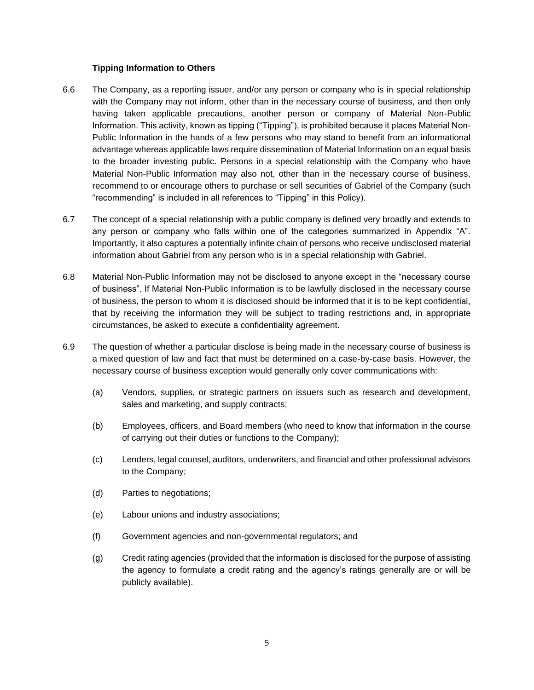#### **Tipping Information to Others**

- <span id="page-4-0"></span>6.6 The Company, as a reporting issuer, and/or any person or company who is in special relationship with the Company may not inform, other than in the necessary course of business, and then only having taken applicable precautions, another person or company of Material Non-Public Information. This activity, known as tipping ("Tipping"), is prohibited because it places Material Non-Public Information in the hands of a few persons who may stand to benefit from an informational advantage whereas applicable laws require dissemination of Material Information on an equal basis to the broader investing public. Persons in a special relationship with the Company who have Material Non-Public Information may also not, other than in the necessary course of business, recommend to or encourage others to purchase or sell securities of Gabriel of the Company (such "recommending" is included in all references to "Tipping" in this Policy).
- 6.7 The concept of a special relationship with a public company is defined very broadly and extends to any person or company who falls within one of the categories summarized in Appendix "A". Importantly, it also captures a potentially infinite chain of persons who receive undisclosed material information about Gabriel from any person who is in a special relationship with Gabriel.
- 6.8 Material Non-Public Information may not be disclosed to anyone except in the "necessary course of business". If Material Non-Public Information is to be lawfully disclosed in the necessary course of business, the person to whom it is disclosed should be informed that it is to be kept confidential, that by receiving the information they will be subject to trading restrictions and, in appropriate circumstances, be asked to execute a confidentiality agreement.
- 6.9 The question of whether a particular disclose is being made in the necessary course of business is a mixed question of law and fact that must be determined on a case-by-case basis. However, the necessary course of business exception would generally only cover communications with:
	- (a) Vendors, supplies, or strategic partners on issuers such as research and development, sales and marketing, and supply contracts;
	- (b) Employees, officers, and Board members (who need to know that information in the course of carrying out their duties or functions to the Company);
	- (c) Lenders, legal counsel, auditors, underwriters, and financial and other professional advisors to the Company;
	- (d) Parties to negotiations;
	- (e) Labour unions and industry associations;
	- (f) Government agencies and non-governmental regulators; and
	- (g) Credit rating agencies (provided that the information is disclosed for the purpose of assisting the agency to formulate a credit rating and the agency's ratings generally are or will be publicly available).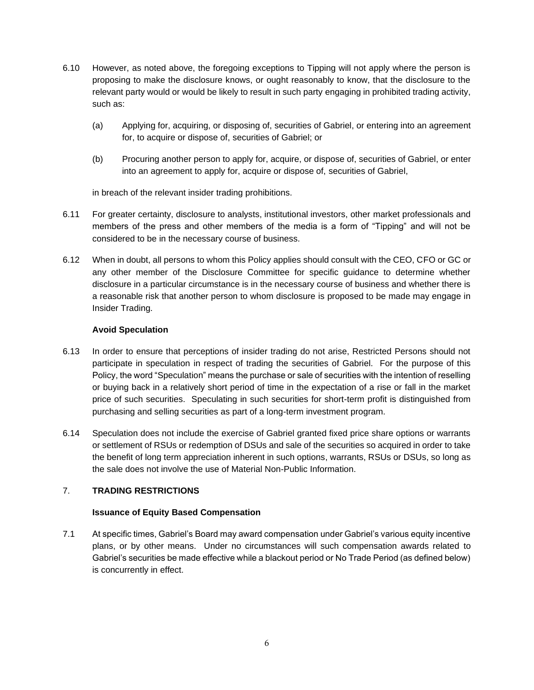- 6.10 However, as noted above, the foregoing exceptions to Tipping will not apply where the person is proposing to make the disclosure knows, or ought reasonably to know, that the disclosure to the relevant party would or would be likely to result in such party engaging in prohibited trading activity, such as:
	- (a) Applying for, acquiring, or disposing of, securities of Gabriel, or entering into an agreement for, to acquire or dispose of, securities of Gabriel; or
	- (b) Procuring another person to apply for, acquire, or dispose of, securities of Gabriel, or enter into an agreement to apply for, acquire or dispose of, securities of Gabriel,

in breach of the relevant insider trading prohibitions.

- 6.11 For greater certainty, disclosure to analysts, institutional investors, other market professionals and members of the press and other members of the media is a form of "Tipping" and will not be considered to be in the necessary course of business.
- <span id="page-5-0"></span>6.12 When in doubt, all persons to whom this Policy applies should consult with the CEO, CFO or GC or any other member of the Disclosure Committee for specific guidance to determine whether disclosure in a particular circumstance is in the necessary course of business and whether there is a reasonable risk that another person to whom disclosure is proposed to be made may engage in Insider Trading.

#### **Avoid Speculation**

- 6.13 In order to ensure that perceptions of insider trading do not arise, Restricted Persons should not participate in speculation in respect of trading the securities of Gabriel. For the purpose of this Policy, the word "Speculation" means the purchase or sale of securities with the intention of reselling or buying back in a relatively short period of time in the expectation of a rise or fall in the market price of such securities. Speculating in such securities for short-term profit is distinguished from purchasing and selling securities as part of a long-term investment program.
- 6.14 Speculation does not include the exercise of Gabriel granted fixed price share options or warrants or settlement of RSUs or redemption of DSUs and sale of the securities so acquired in order to take the benefit of long term appreciation inherent in such options, warrants, RSUs or DSUs, so long as the sale does not involve the use of Material Non-Public Information.

## 7. **TRADING RESTRICTIONS**

## **Issuance of Equity Based Compensation**

7.1 At specific times, Gabriel's Board may award compensation under Gabriel's various equity incentive plans, or by other means. Under no circumstances will such compensation awards related to Gabriel's securities be made effective while a blackout period or No Trade Period (as defined below) is concurrently in effect.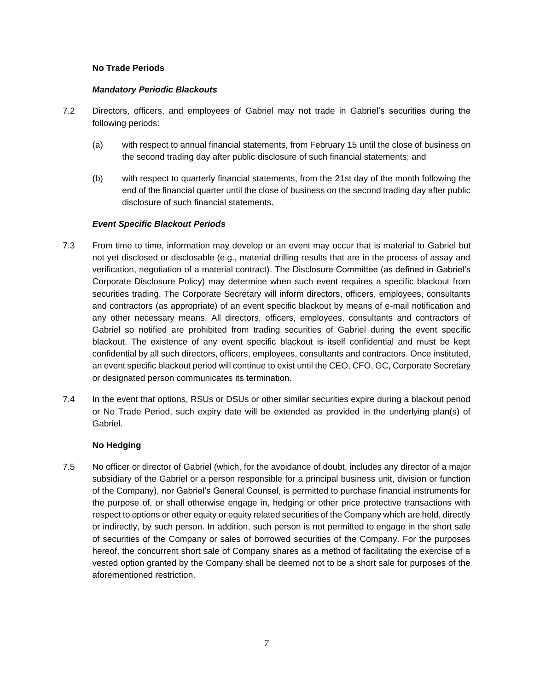## **No Trade Periods**

#### *Mandatory Periodic Blackouts*

- 7.2 Directors, officers, and employees of Gabriel may not trade in Gabriel's securities during the following periods:
	- (a) with respect to annual financial statements, from February 15 until the close of business on the second trading day after public disclosure of such financial statements; and
	- (b) with respect to quarterly financial statements, from the 21st day of the month following the end of the financial quarter until the close of business on the second trading day after public disclosure of such financial statements.

## *Event Specific Blackout Periods*

- 7.3 From time to time, information may develop or an event may occur that is material to Gabriel but not yet disclosed or disclosable (e.g., material drilling results that are in the process of assay and verification, negotiation of a material contract). The Disclosure Committee (as defined in Gabriel's Corporate Disclosure Policy) may determine when such event requires a specific blackout from securities trading. The Corporate Secretary will inform directors, officers, employees, consultants and contractors (as appropriate) of an event specific blackout by means of e-mail notification and any other necessary means. All directors, officers, employees, consultants and contractors of Gabriel so notified are prohibited from trading securities of Gabriel during the event specific blackout. The existence of any event specific blackout is itself confidential and must be kept confidential by all such directors, officers, employees, consultants and contractors. Once instituted, an event specific blackout period will continue to exist until the CEO, CFO, GC, Corporate Secretary or designated person communicates its termination.
- 7.4 In the event that options, RSUs or DSUs or other similar securities expire during a blackout period or No Trade Period, such expiry date will be extended as provided in the underlying plan(s) of Gabriel.

## **No Hedging**

7.5 No officer or director of Gabriel (which, for the avoidance of doubt, includes any director of a major subsidiary of the Gabriel or a person responsible for a principal business unit, division or function of the Company), nor Gabriel's General Counsel, is permitted to purchase financial instruments for the purpose of, or shall otherwise engage in, hedging or other price protective transactions with respect to options or other equity or equity related securities of the Company which are held, directly or indirectly, by such person. In addition, such person is not permitted to engage in the short sale of securities of the Company or sales of borrowed securities of the Company. For the purposes hereof, the concurrent short sale of Company shares as a method of facilitating the exercise of a vested option granted by the Company shall be deemed not to be a short sale for purposes of the aforementioned restriction.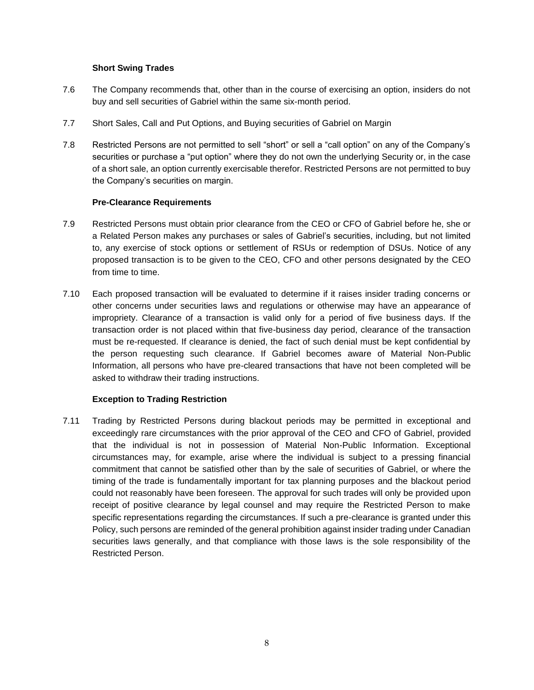## **Short Swing Trades**

- 7.6 The Company recommends that, other than in the course of exercising an option, insiders do not buy and sell securities of Gabriel within the same six-month period.
- 7.7 Short Sales, Call and Put Options, and Buying securities of Gabriel on Margin
- 7.8 Restricted Persons are not permitted to sell "short" or sell a "call option" on any of the Company's securities or purchase a "put option" where they do not own the underlying Security or, in the case of a short sale, an option currently exercisable therefor. Restricted Persons are not permitted to buy the Company's securities on margin.

## **Pre-Clearance Requirements**

- 7.9 Restricted Persons must obtain prior clearance from the CEO or CFO of Gabriel before he, she or a Related Person makes any purchases or sales of Gabriel's securities, including, but not limited to, any exercise of stock options or settlement of RSUs or redemption of DSUs. Notice of any proposed transaction is to be given to the CEO, CFO and other persons designated by the CEO from time to time.
- 7.10 Each proposed transaction will be evaluated to determine if it raises insider trading concerns or other concerns under securities laws and regulations or otherwise may have an appearance of impropriety. Clearance of a transaction is valid only for a period of five business days. If the transaction order is not placed within that five-business day period, clearance of the transaction must be re-requested. If clearance is denied, the fact of such denial must be kept confidential by the person requesting such clearance. If Gabriel becomes aware of Material Non-Public Information, all persons who have pre-cleared transactions that have not been completed will be asked to withdraw their trading instructions.

## **Exception to Trading Restriction**

<span id="page-7-0"></span>7.11 Trading by Restricted Persons during blackout periods may be permitted in exceptional and exceedingly rare circumstances with the prior approval of the CEO and CFO of Gabriel, provided that the individual is not in possession of Material Non-Public Information. Exceptional circumstances may, for example, arise where the individual is subject to a pressing financial commitment that cannot be satisfied other than by the sale of securities of Gabriel, or where the timing of the trade is fundamentally important for tax planning purposes and the blackout period could not reasonably have been foreseen. The approval for such trades will only be provided upon receipt of positive clearance by legal counsel and may require the Restricted Person to make specific representations regarding the circumstances. If such a pre-clearance is granted under this Policy, such persons are reminded of the general prohibition against insider trading under Canadian securities laws generally, and that compliance with those laws is the sole responsibility of the Restricted Person.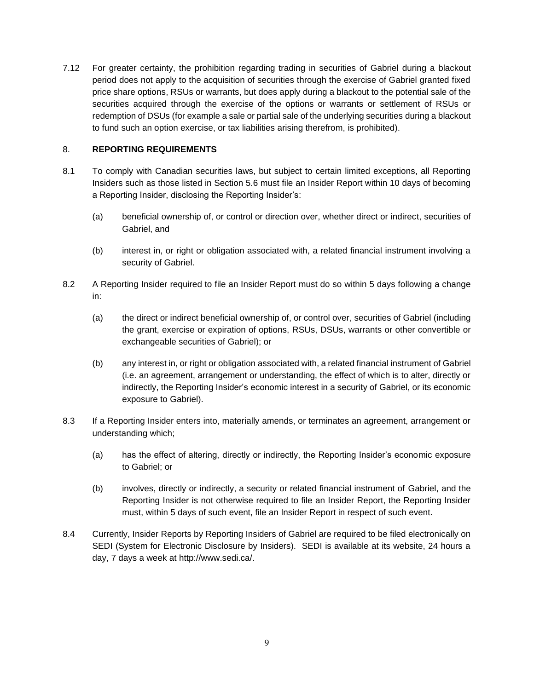7.12 For greater certainty, the prohibition regarding trading in securities of Gabriel during a blackout period does not apply to the acquisition of securities through the exercise of Gabriel granted fixed price share options, RSUs or warrants, but does apply during a blackout to the potential sale of the securities acquired through the exercise of the options or warrants or settlement of RSUs or redemption of DSUs (for example a sale or partial sale of the underlying securities during a blackout to fund such an option exercise, or tax liabilities arising therefrom, is prohibited).

## 8. **REPORTING REQUIREMENTS**

- 8.1 To comply with Canadian securities laws, but subject to certain limited exceptions, all Reporting Insiders such as those listed in Section [5.6](#page-2-0) must file an Insider Report within 10 days of becoming a Reporting Insider, disclosing the Reporting Insider's:
	- (a) beneficial ownership of, or control or direction over, whether direct or indirect, securities of Gabriel, and
	- (b) interest in, or right or obligation associated with, a related financial instrument involving a security of Gabriel.
- 8.2 A Reporting Insider required to file an Insider Report must do so within 5 days following a change in:
	- (a) the direct or indirect beneficial ownership of, or control over, securities of Gabriel (including the grant, exercise or expiration of options, RSUs, DSUs, warrants or other convertible or exchangeable securities of Gabriel); or
	- (b) any interest in, or right or obligation associated with, a related financial instrument of Gabriel (i.e. an agreement, arrangement or understanding, the effect of which is to alter, directly or indirectly, the Reporting Insider's economic interest in a security of Gabriel, or its economic exposure to Gabriel).
- 8.3 If a Reporting Insider enters into, materially amends, or terminates an agreement, arrangement or understanding which;
	- (a) has the effect of altering, directly or indirectly, the Reporting Insider's economic exposure to Gabriel; or
	- (b) involves, directly or indirectly, a security or related financial instrument of Gabriel, and the Reporting Insider is not otherwise required to file an Insider Report, the Reporting Insider must, within 5 days of such event, file an Insider Report in respect of such event.
- 8.4 Currently, Insider Reports by Reporting Insiders of Gabriel are required to be filed electronically on SEDI (System for Electronic Disclosure by Insiders). SEDI is available at its website, 24 hours a day, 7 days a week at [http://www.sedi.ca/.](http://www.sedi.ca/)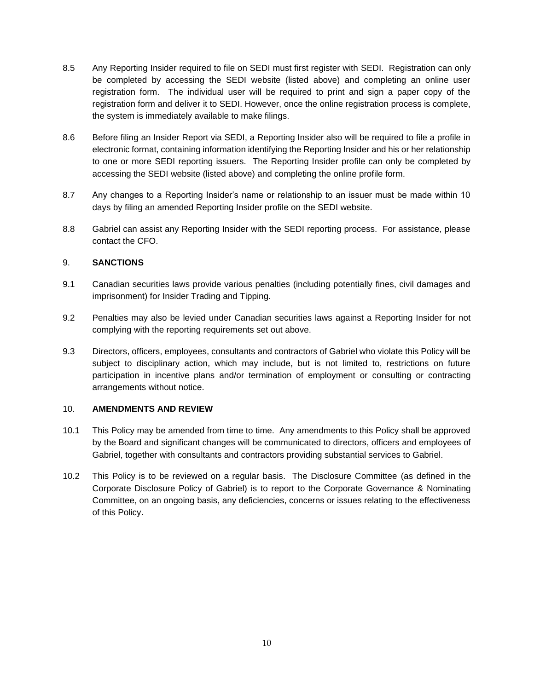- 8.5 Any Reporting Insider required to file on SEDI must first register with SEDI. Registration can only be completed by accessing the SEDI website (listed above) and completing an online user registration form. The individual user will be required to print and sign a paper copy of the registration form and deliver it to SEDI. However, once the online registration process is complete, the system is immediately available to make filings.
- 8.6 Before filing an Insider Report via SEDI, a Reporting Insider also will be required to file a profile in electronic format, containing information identifying the Reporting Insider and his or her relationship to one or more SEDI reporting issuers. The Reporting Insider profile can only be completed by accessing the SEDI website (listed above) and completing the online profile form.
- 8.7 Any changes to a Reporting Insider's name or relationship to an issuer must be made within 10 days by filing an amended Reporting Insider profile on the SEDI website.
- 8.8 Gabriel can assist any Reporting Insider with the SEDI reporting process. For assistance, please contact the CFO.

#### 9. **SANCTIONS**

- 9.1 Canadian securities laws provide various penalties (including potentially fines, civil damages and imprisonment) for Insider Trading and Tipping.
- 9.2 Penalties may also be levied under Canadian securities laws against a Reporting Insider for not complying with the reporting requirements set out above.
- 9.3 Directors, officers, employees, consultants and contractors of Gabriel who violate this Policy will be subject to disciplinary action, which may include, but is not limited to, restrictions on future participation in incentive plans and/or termination of employment or consulting or contracting arrangements without notice.

#### 10. **AMENDMENTS AND REVIEW**

- 10.1 This Policy may be amended from time to time. Any amendments to this Policy shall be approved by the Board and significant changes will be communicated to directors, officers and employees of Gabriel, together with consultants and contractors providing substantial services to Gabriel.
- 10.2 This Policy is to be reviewed on a regular basis. The Disclosure Committee (as defined in the Corporate Disclosure Policy of Gabriel) is to report to the Corporate Governance & Nominating Committee, on an ongoing basis, any deficiencies, concerns or issues relating to the effectiveness of this Policy.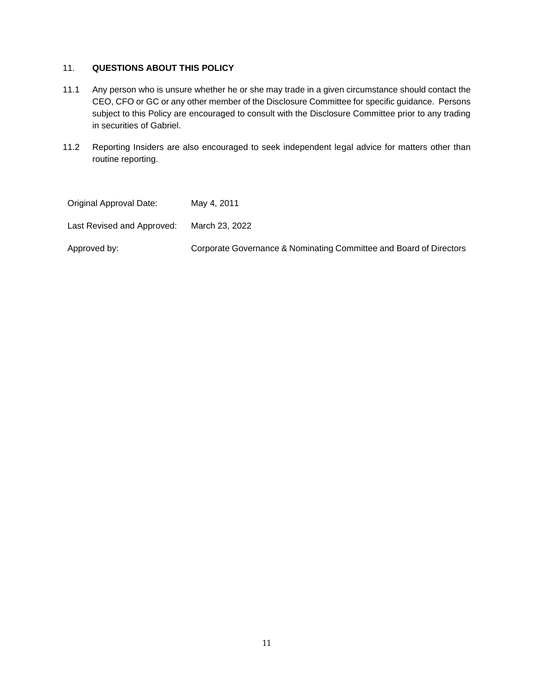# 11. **QUESTIONS ABOUT THIS POLICY**

- 11.1 Any person who is unsure whether he or she may trade in a given circumstance should contact the CEO, CFO or GC or any other member of the Disclosure Committee for specific guidance. Persons subject to this Policy are encouraged to consult with the Disclosure Committee prior to any trading in securities of Gabriel.
- 11.2 Reporting Insiders are also encouraged to seek independent legal advice for matters other than routine reporting.

| Original Approval Date:    | May 4, 2011                                                        |
|----------------------------|--------------------------------------------------------------------|
| Last Revised and Approved: | March 23, 2022                                                     |
| Approved by:               | Corporate Governance & Nominating Committee and Board of Directors |